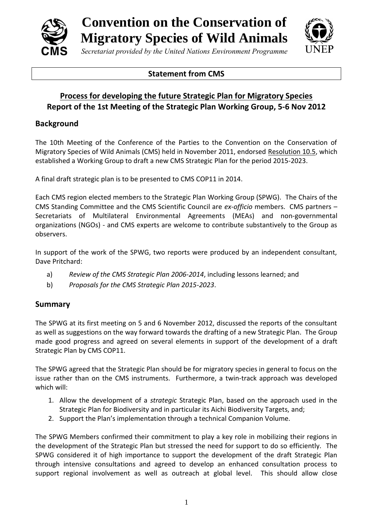

**Convention on the Conservation of Migratory Species of Wild Animals**



*Secretariat provided by the United Nations Environment Programme*

### **Statement from CMS**

# **Process for developing the future Strategic Plan for Migratory Species Report of the 1st Meeting of the Strategic Plan Working Group, 5-6 Nov 2012**

## **Background**

The 10th Meeting of the Conference of the Parties to the Convention on the Conservation of Migratory Species of Wild Animals (CMS) held in November 2011, endorsed [Resolution 10.5,](http://www.cms.int/bodies/COP/cop10/resolutions_adopted/10_05_strategic_plan_e.pdf) which established a Working Group to draft a new CMS Strategic Plan for the period 2015-2023.

A final draft strategic plan is to be presented to CMS COP11 in 2014.

Each CMS region elected members to the Strategic Plan Working Group (SPWG). The Chairs of the CMS Standing Committee and the CMS Scientific Council are *ex-officio* members. CMS partners – Secretariats of Multilateral Environmental Agreements (MEAs) and non-governmental organizations (NGOs) - and CMS experts are welcome to contribute substantively to the Group as observers.

In support of the work of the SPWG, two reports were produced by an independent consultant, Dave Pritchard:

- a) *Review of the CMS Strategic Plan 2006-2014*, including lessons learned; and
- b) *Proposals for the CMS Strategic Plan 2015-2023*.

#### **Summary**

The SPWG at its first meeting on 5 and 6 November 2012, discussed the reports of the consultant as well as suggestions on the way forward towards the drafting of a new Strategic Plan. The Group made good progress and agreed on several elements in support of the development of a draft Strategic Plan by CMS COP11.

The SPWG agreed that the Strategic Plan should be for migratory species in general to focus on the issue rather than on the CMS instruments. Furthermore, a twin-track approach was developed which will:

- 1. Allow the development of a *strategic* Strategic Plan, based on the approach used in the Strategic Plan for Biodiversity and in particular its Aichi Biodiversity Targets, and;
- 2. Support the Plan's implementation through a technical Companion Volume.

The SPWG Members confirmed their commitment to play a key role in mobilizing their regions in the development of the Strategic Plan but stressed the need for support to do so efficiently. The SPWG considered it of high importance to support the development of the draft Strategic Plan through intensive consultations and agreed to develop an enhanced consultation process to support regional involvement as well as outreach at global level. This should allow close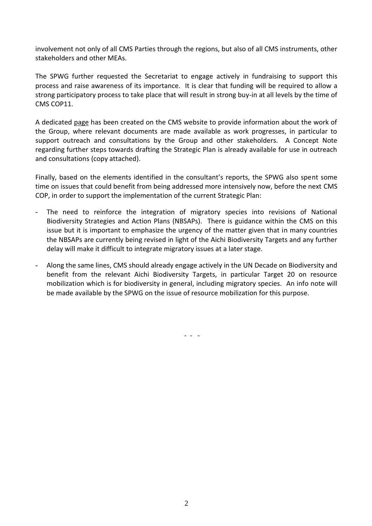involvement not only of all CMS Parties through the regions, but also of all CMS instruments, other stakeholders and other MEAs.

The SPWG further requested the Secretariat to engage actively in fundraising to support this process and raise awareness of its importance. It is clear that funding will be required to allow a strong participatory process to take place that will result in strong buy-in at all levels by the time of CMS COP11.

A dedicated [page](http://www.cms.int/bodies/StC/strategic_plan_2015_2023_wg/strpln_wg_mainpage.htm) has been created on the CMS website to provide information about the work of the Group, where relevant documents are made available as work progresses, in particular to support outreach and consultations by the Group and other stakeholders. A Concept Note regarding further steps towards drafting the Strategic Plan is already available for use in outreach and consultations (copy attached).

Finally, based on the elements identified in the consultant's reports, the SPWG also spent some time on issues that could benefit from being addressed more intensively now, before the next CMS COP, in order to support the implementation of the current Strategic Plan:

- The need to reinforce the integration of migratory species into revisions of National Biodiversity Strategies and Action Plans (NBSAPs). There is guidance within the CMS on this issue but it is important to emphasize the urgency of the matter given that in many countries the NBSAPs are currently being revised in light of the Aichi Biodiversity Targets and any further delay will make it difficult to integrate migratory issues at a later stage.
- Along the same lines, CMS should already engage actively in the UN Decade on Biodiversity and benefit from the relevant Aichi Biodiversity Targets, in particular Target 20 on resource mobilization which is for biodiversity in general, including migratory species. An info note will be made available by the SPWG on the issue of resource mobilization for this purpose.

- - -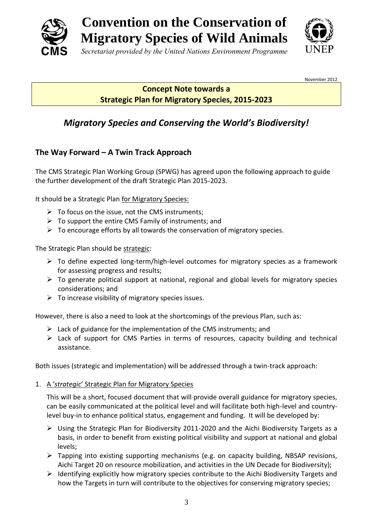



#### November 2012

### **Concept Note towards a Strategic Plan for Migratory Species, 2015-2023**

# *Migratory Species and Conserving the World's Biodiversity!*

### **The Way Forward – A Twin Track Approach**

The CMS Strategic Plan Working Group (SPWG) has agreed upon the following approach to guide the further development of the draft Strategic Plan 2015-2023.

It should be a Strategic Plan for Migratory Species:

- $\triangleright$  To focus on the issue, not the CMS instruments;
- $\triangleright$  To support the entire CMS Family of instruments; and
- $\triangleright$  To encourage efforts by all towards the conservation of migratory species.

The Strategic Plan should be strategic:

- $\triangleright$  To define expected long-term/high-level outcomes for migratory species as a framework for assessing progress and results;
- $\triangleright$  To generate political support at national, regional and global levels for migratory species considerations; and
- $\triangleright$  To increase visibility of migratory species issues.

However, there is also a need to look at the shortcomings of the previous Plan, such as:

- $\triangleright$  Lack of guidance for the implementation of the CMS instruments; and
- $\triangleright$  Lack of support for CMS Parties in terms of resources, capacity building and technical assistance.

Both issues (strategic and implementation) will be addressed through a twin-track approach:

1. A '*strategic*' Strategic Plan for Migratory Species

This will be a short, focused document that will provide overall guidance for migratory species, can be easily communicated at the political level and will facilitate both high-level and countrylevel buy-in to enhance political status, engagement and funding. It will be developed by:

- Using the Strategic Plan for Biodiversity 2011-2020 and the Aichi Biodiversity Targets as a basis, in order to benefit from existing political visibility and support at national and global levels;
- $\triangleright$  Tapping into existing supporting mechanisms (e.g. on capacity building, NBSAP revisions, Aichi Target 20 on resource mobilization, and activities in the UN Decade for Biodiversity);
- $\triangleright$  Identifying explicitly how migratory species contribute to the Aichi Biodiversity Targets and how the Targets in turn will contribute to the objectives for conserving migratory species;